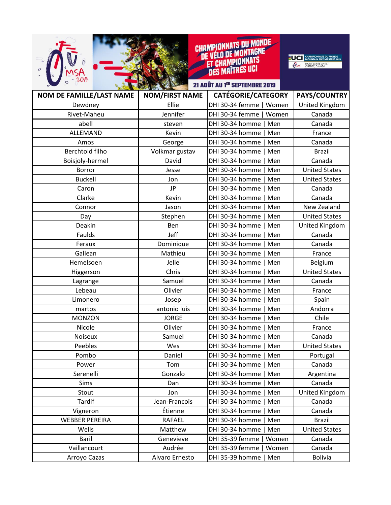







| $\circ$ $\mu$                   |                       | 21 AOÛT AU 1ER SEPTEMBRE 2019 |                      |
|---------------------------------|-----------------------|-------------------------------|----------------------|
| <b>NOM DE FAMILLE/LAST NAME</b> | <b>NOM/FIRST NAME</b> | <b>CATÉGORIE/CATEGORY</b>     | PAYS/COUNTRY         |
| Dewdney                         | Ellie                 | DHI 30-34 femme<br>Women      | United Kingdom       |
| Rivet-Maheu                     | Jennifer              | DHI 30-34 femme<br>Women      | Canada               |
| abell                           | steven                | DHI 30-34 homme<br>Men        | Canada               |
| ALLEMAND                        | Kevin                 | DHI 30-34 homme<br>Men        | France               |
| Amos                            | George                | DHI 30-34 homme<br>Men        | Canada               |
| <b>Berchtold filho</b>          | Volkmar gustav        | DHI 30-34 homme  <br>Men      | <b>Brazil</b>        |
| Boisjoly-hermel                 | David                 | DHI 30-34 homme<br>Men        | Canada               |
| Borror                          | Jesse                 | DHI 30-34 homme<br>Men        | <b>United States</b> |
| <b>Buckell</b>                  | Jon                   | DHI 30-34 homme<br>Men        | <b>United States</b> |
| Caron                           | JP                    | DHI 30-34 homme<br>Men        | Canada               |
| Clarke                          | Kevin                 | DHI 30-34 homme<br>Men        | Canada               |
| Connor                          | Jason                 | DHI 30-34 homme<br>Men        | New Zealand          |
| Day                             | Stephen               | DHI 30-34 homme<br>Men        | <b>United States</b> |
| Deakin                          | Ben                   | DHI 30-34 homme<br>Men        | United Kingdom       |
| Faulds                          | Jeff                  | DHI 30-34 homme<br>Men        | Canada               |
| Feraux                          | Dominique             | DHI 30-34 homme<br>Men        | Canada               |
| Gallean                         | Mathieu               | DHI 30-34 homme<br>Men        | France               |
| Hemelsoen                       | Jelle                 | DHI 30-34 homme<br>Men        | Belgium              |
| Higgerson                       | Chris                 | DHI 30-34 homme<br>Men        | <b>United States</b> |
| Lagrange                        | Samuel                | DHI 30-34 homme<br>Men        | Canada               |
| Lebeau                          | Olivier               | DHI 30-34 homme<br>Men        | France               |
| Limonero                        | Josep                 | DHI 30-34 homme<br>Men        | Spain                |
| martos                          | antonio luis          | DHI 30-34 homme<br>Men        | Andorra              |
| <b>MONZON</b>                   | <b>JORGE</b>          | DHI 30-34 homme<br>Men        | Chile                |
| Nicole                          | Olivier               | DHI 30-34 homme<br>Men        | France               |
| Noiseux                         | Samuel                | DHI 30-34 homme<br>Men        | Canada               |
| Peebles                         | Wes                   | DHI 30-34 homme<br>Men        | <b>United States</b> |
| Pombo                           | Daniel                | DHI 30-34 homme<br>Men        | Portugal             |
| Power                           | Tom                   | DHI 30-34 homme   Men         | Canada               |
| Serenelli                       | Gonzalo               | DHI 30-34 homme  <br>Men      | Argentina            |
| Sims                            | Dan                   | DHI 30-34 homme<br>Men        | Canada               |
| Stout                           | Jon                   | DHI 30-34 homme<br>Men        | United Kingdom       |
| Tardif                          | Jean-Francois         | DHI 30-34 homme<br>Men        | Canada               |
| Vigneron                        | Étienne               | DHI 30-34 homme<br>Men        | Canada               |
| <b>WEBBER PEREIRA</b>           | RAFAEL                | DHI 30-34 homme<br>Men        | <b>Brazil</b>        |
| Wells                           | Matthew               | DHI 30-34 homme<br>Men        | <b>United States</b> |
| Baril                           | Genevieve             | DHI 35-39 femme<br>Women      | Canada               |
| Vaillancourt                    | Audrée                | DHI 35-39 femme<br>Women      | Canada               |
| Arroyo Cazas                    | Alvaro Ernesto        | DHI 35-39 homme<br>  Men      | Bolivia              |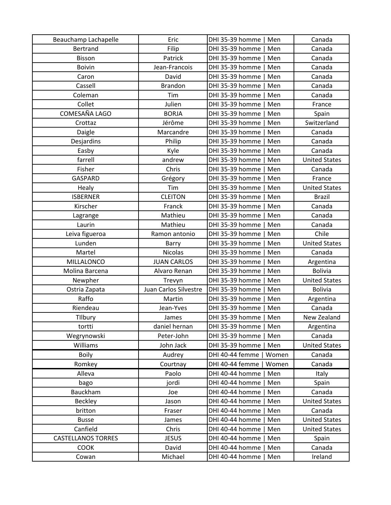| Beauchamp Lachapelle      | Eric                  | DHI 35-39 homme<br>Men   | Canada               |
|---------------------------|-----------------------|--------------------------|----------------------|
| <b>Bertrand</b>           | Filip                 | DHI 35-39 homme<br>Men   | Canada               |
| Bisson                    | Patrick               | DHI 35-39 homme<br>Men   | Canada               |
| <b>Boivin</b>             | Jean-Francois         | DHI 35-39 homme<br>Men   | Canada               |
| Caron                     | David                 | DHI 35-39 homme<br>Men   | Canada               |
| Cassell                   | <b>Brandon</b>        | DHI 35-39 homme<br>Men   | Canada               |
| Coleman                   | Tim                   | DHI 35-39 homme<br>Men   | Canada               |
| Collet                    | Julien                | DHI 35-39 homme<br>Men   | France               |
| COMESAÑA LAGO             | <b>BORJA</b>          | DHI 35-39 homme<br>Men   | Spain                |
| Crottaz                   | Jérôme                | DHI 35-39 homme<br>Men   | Switzerland          |
| Daigle                    | Marcandre             | DHI 35-39 homme<br>Men   | Canada               |
| Desjardins                | Philip                | DHI 35-39 homme<br>Men   | Canada               |
| Easby                     | Kyle                  | DHI 35-39 homme<br>Men   | Canada               |
| farrell                   | andrew                | DHI 35-39 homme  <br>Men | <b>United States</b> |
| Fisher                    | Chris                 | DHI 35-39 homme<br>Men   | Canada               |
| <b>GASPARD</b>            | Grégory               | DHI 35-39 homme<br>Men   | France               |
| Healy                     | Tim                   | DHI 35-39 homme<br>Men   | <b>United States</b> |
| <b>ISBERNER</b>           | <b>CLEITON</b>        | DHI 35-39 homme<br>Men   | <b>Brazil</b>        |
| Kirscher                  | Franck                | DHI 35-39 homme<br>Men   | Canada               |
| Lagrange                  | Mathieu               | DHI 35-39 homme<br>Men   | Canada               |
| Laurin                    | Mathieu               | DHI 35-39 homme<br>Men   | Canada               |
| Leiva figueroa            | Ramon antonio         | DHI 35-39 homme<br>Men   | Chile                |
| Lunden                    | Barry                 | DHI 35-39 homme<br>Men   | <b>United States</b> |
| Martel                    | <b>Nicolas</b>        | DHI 35-39 homme<br>Men   | Canada               |
| MILLALONCO                | <b>JUAN CARLOS</b>    | DHI 35-39 homme<br>Men   | Argentina            |
| Molina Barcena            | Alvaro Renan          | DHI 35-39 homme<br>Men   | <b>Bolivia</b>       |
| Newpher                   | Trevyn                | DHI 35-39 homme<br>Men   | <b>United States</b> |
| Ostria Zapata             | Juan Carlos Silvestre | DHI 35-39 homme<br>Men   | <b>Bolivia</b>       |
| Raffo                     | Martin                | DHI 35-39 homme<br>Men   | Argentina            |
| Riendeau                  | Jean-Yves             | DHI 35-39 homme<br>Men   | Canada               |
| Tilbury                   | James                 | DHI 35-39 homme<br>Men   | New Zealand          |
| tortti                    | daniel hernan         | DHI 35-39 homme<br>Men   | Argentina            |
| Wegrynowski               | Peter-John            | DHI 35-39 homme<br>Men   | Canada               |
| Williams                  | John Jack             | DHI 35-39 homme<br>Men   | <b>United States</b> |
| <b>Boily</b>              | Audrey                | DHI 40-44 femme<br>Women | Canada               |
| Romkey                    | Courtnay              | DHI 40-44 femme<br>Women | Canada               |
| Alleva                    | Paolo                 | DHI 40-44 homme<br>Men   | Italy                |
| bago                      | jordi                 | DHI 40-44 homme<br>Men   | Spain                |
| Bauckham                  | Joe                   | DHI 40-44 homme<br>Men   | Canada               |
| <b>Beckley</b>            | Jason                 | DHI 40-44 homme<br>Men   | <b>United States</b> |
| britton                   | Fraser                | DHI 40-44 homme<br>Men   | Canada               |
| <b>Busse</b>              | James                 | DHI 40-44 homme<br>Men   | <b>United States</b> |
| Canfield                  | Chris                 | DHI 40-44 homme<br>Men   | <b>United States</b> |
| <b>CASTELLANOS TORRES</b> | <b>JESUS</b>          | DHI 40-44 homme<br>Men   | Spain                |
| <b>COOK</b>               | David                 | DHI 40-44 homme<br>Men   | Canada               |
| Cowan                     | Michael               | DHI 40-44 homme<br>Men   | Ireland              |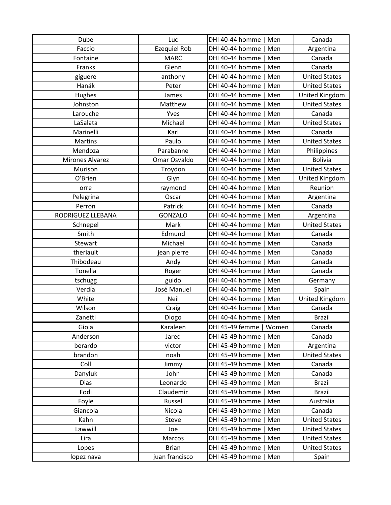| Dube                   | Luc                 | DHI 40-44 homme<br>Men   | Canada               |
|------------------------|---------------------|--------------------------|----------------------|
| Faccio                 | <b>Ezequiel Rob</b> | DHI 40-44 homme<br>Men   | Argentina            |
| Fontaine               | <b>MARC</b>         | DHI 40-44 homme<br>Men   | Canada               |
| Franks                 | Glenn               | DHI 40-44 homme<br>Men   | Canada               |
| giguere                | anthony             | DHI 40-44 homme<br>Men   | <b>United States</b> |
| Hanák                  | Peter               | DHI 40-44 homme<br>Men   | <b>United States</b> |
| Hughes                 | James               | DHI 40-44 homme<br>Men   | United Kingdom       |
| Johnston               | Matthew             | DHI 40-44 homme<br>Men   | <b>United States</b> |
| Larouche               | Yves                | DHI 40-44 homme<br>Men   | Canada               |
| LaSalata               | Michael             | DHI 40-44 homme<br>Men   | <b>United States</b> |
| Marinelli              | Karl                | DHI 40-44 homme<br>Men   | Canada               |
| Martins                | Paulo               | DHI 40-44 homme<br>Men   | <b>United States</b> |
| Mendoza                | Parabanne           | DHI 40-44 homme<br>Men   | Philippines          |
| <b>Mirones Alvarez</b> | Omar Osvaldo        | DHI 40-44 homme<br>Men   | <b>Bolivia</b>       |
| Murison                | Troydon             | DHI 40-44 homme<br>Men   | <b>United States</b> |
| O'Brien                | Glyn                | DHI 40-44 homme<br>Men   | United Kingdom       |
| orre                   | raymond             | DHI 40-44 homme<br>Men   | Reunion              |
| Pelegrina              | Oscar               | DHI 40-44 homme<br>Men   | Argentina            |
| Perron                 | Patrick             | DHI 40-44 homme<br>Men   | Canada               |
| RODRIGUEZ LLEBANA      | <b>GONZALO</b>      | DHI 40-44 homme<br>Men   | Argentina            |
| Schnepel               | Mark                | DHI 40-44 homme<br>Men   | <b>United States</b> |
| Smith                  | Edmund              | DHI 40-44 homme<br>Men   | Canada               |
| Stewart                | Michael             | DHI 40-44 homme<br>Men   | Canada               |
| theriault              | jean pierre         | DHI 40-44 homme<br>Men   | Canada               |
| Thibodeau              | Andy                | DHI 40-44 homme<br>Men   | Canada               |
| Tonella                | Roger               | DHI 40-44 homme<br>Men   | Canada               |
| tschugg                | guido               | DHI 40-44 homme<br>Men   | Germany              |
| Verdía                 | José Manuel         | DHI 40-44 homme<br>Men   | Spain                |
| White                  | Neil                | DHI 40-44 homme<br>Men   | United Kingdom       |
| Wilson                 | Craig               | DHI 40-44 homme<br>Men   | Canada               |
| Zanetti                | Diogo               | DHI 40-44 homme<br>Men   | <b>Brazil</b>        |
| Gioia                  | Karaleen            | DHI 45-49 femme<br>Women | Canada               |
| Anderson               | Jared               | DHI 45-49 homme<br>Men   | Canada               |
| berardo                | victor              | DHI 45-49 homme<br>Men   | Argentina            |
| brandon                | noah                | DHI 45-49 homme<br>Men   | <b>United States</b> |
| Coll                   | Jimmy               | DHI 45-49 homme<br>Men   | Canada               |
| Danyluk                | John                | DHI 45-49 homme<br>Men   | Canada               |
| <b>Dias</b>            | Leonardo            | DHI 45-49 homme<br>Men   | <b>Brazil</b>        |
| Fodi                   | Claudemir           | DHI 45-49 homme<br>Men   | <b>Brazil</b>        |
| Foyle                  | Russel              | DHI 45-49 homme<br>Men   | Australia            |
| Giancola               | Nicola              | DHI 45-49 homme<br>Men   | Canada               |
| Kahn                   | Steve               | DHI 45-49 homme<br>Men   | <b>United States</b> |
| Lawwill                | Joe                 | DHI 45-49 homme<br>Men   | <b>United States</b> |
| Lira                   | Marcos              | DHI 45-49 homme<br>Men   | <b>United States</b> |
| Lopes                  | <b>Brian</b>        | DHI 45-49 homme<br>Men   | <b>United States</b> |
| lopez nava             | juan francisco      | DHI 45-49 homme<br>Men   | Spain                |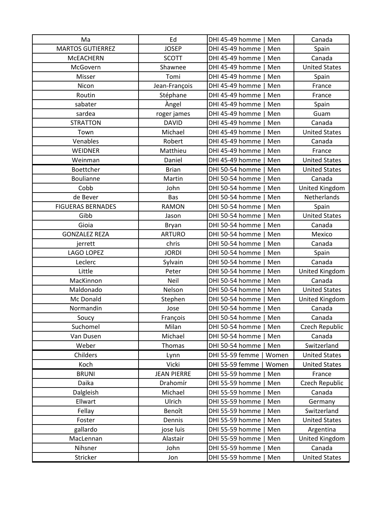| Ma                       | Ed                 | DHI 45-49 homme<br>Men   | Canada               |
|--------------------------|--------------------|--------------------------|----------------------|
| <b>MARTOS GUTIERREZ</b>  | <b>JOSEP</b>       | DHI 45-49 homme<br>Men   | Spain                |
| McEACHERN                | <b>SCOTT</b>       | DHI 45-49 homme<br>Men   | Canada               |
| McGovern                 | Shawnee            | DHI 45-49 homme<br>Men   | <b>United States</b> |
| Misser                   | Tomi               | DHI 45-49 homme<br>Men   | Spain                |
| Nicon                    | Jean-François      | DHI 45-49 homme<br>Men   | France               |
| Routin                   | Stéphane           | DHI 45-49 homme<br>Men   | France               |
| sabater                  | Àngel              | DHI 45-49 homme<br>Men   | Spain                |
| sardea                   | roger james        | DHI 45-49 homme<br>Men   | Guam                 |
| <b>STRATTON</b>          | <b>DAVID</b>       | DHI 45-49 homme<br>Men   | Canada               |
| Town                     | Michael            | DHI 45-49 homme<br>Men   | <b>United States</b> |
| Venables                 | Robert             | DHI 45-49 homme<br>Men   | Canada               |
| <b>WEIDNER</b>           | Matthieu           | DHI 45-49 homme<br>Men   | France               |
| Weinman                  | Daniel             | DHI 45-49 homme<br>Men   | <b>United States</b> |
| <b>Boettcher</b>         | <b>Brian</b>       | DHI 50-54 homme<br>Men   | <b>United States</b> |
| Boulianne                | Martin             | DHI 50-54 homme<br>Men   | Canada               |
| Cobb                     | John               | DHI 50-54 homme<br>Men   | United Kingdom       |
| de Bever                 | Bas                | DHI 50-54 homme<br>Men   | Netherlands          |
| <b>FIGUERAS BERNADES</b> | <b>RAMON</b>       | DHI 50-54 homme<br>Men   | Spain                |
| Gibb                     | Jason              | DHI 50-54 homme<br>Men   | <b>United States</b> |
| Gioia                    | <b>Bryan</b>       | DHI 50-54 homme<br>Men   | Canada               |
| <b>GONZALEZ REZA</b>     | <b>ARTURO</b>      | DHI 50-54 homme<br>Men   | Mexico               |
| jerrett                  | chris              | DHI 50-54 homme<br>Men   | Canada               |
| LAGO LOPEZ               | <b>JORDI</b>       | DHI 50-54 homme<br>Men   | Spain                |
| Leclerc                  | Sylvain            | DHI 50-54 homme<br>Men   | Canada               |
| Little                   | Peter              | DHI 50-54 homme<br>Men   | United Kingdom       |
| MacKinnon                | Neil               | DHI 50-54 homme<br>Men   | Canada               |
| Maldonado                | Nelson             | DHI 50-54 homme<br>Men   | <b>United States</b> |
| Mc Donald                | Stephen            | DHI 50-54 homme<br>Men   | United Kingdom       |
| Normandin                | Jose               | DHI 50-54 homme<br>Men   | Canada               |
| Soucy                    | François           | DHI 50-54 homme  <br>Men | Canada               |
| Suchomel                 | Milan              | DHI 50-54 homme<br>Men   | Czech Republic       |
| Van Dusen                | Michael            | DHI 50-54 homme<br>Men   | Canada               |
| Weber                    | Thomas             | DHI 50-54 homme<br>Men   | Switzerland          |
| Childers                 | Lynn               | DHI 55-59 femme<br>Women | <b>United States</b> |
| Koch                     | Vicki              | DHI 55-59 femme<br>Women | <b>United States</b> |
| <b>BRUNI</b>             | <b>JEAN PIERRE</b> | DHI 55-59 homme<br>Men   | France               |
| Daika                    | Drahomír           | DHI 55-59 homme<br>Men   | Czech Republic       |
| Dalgleish                | Michael            | DHI 55-59 homme<br>Men   | Canada               |
| Ellwart                  | Ulrich             | DHI 55-59 homme<br>Men   | Germany              |
| Fellay                   | Benoît             | DHI 55-59 homme<br>Men   | Switzerland          |
| Foster                   | Dennis             | DHI 55-59 homme<br>Men   | <b>United States</b> |
| gallardo                 | jose luis          | DHI 55-59 homme<br>Men   | Argentina            |
| MacLennan                | Alastair           | DHI 55-59 homme<br>Men   | United Kingdom       |
| Nihsner                  | John               | DHI 55-59 homme<br>Men   | Canada               |
| Stricker                 | Jon                | DHI 55-59 homme<br>Men   | <b>United States</b> |